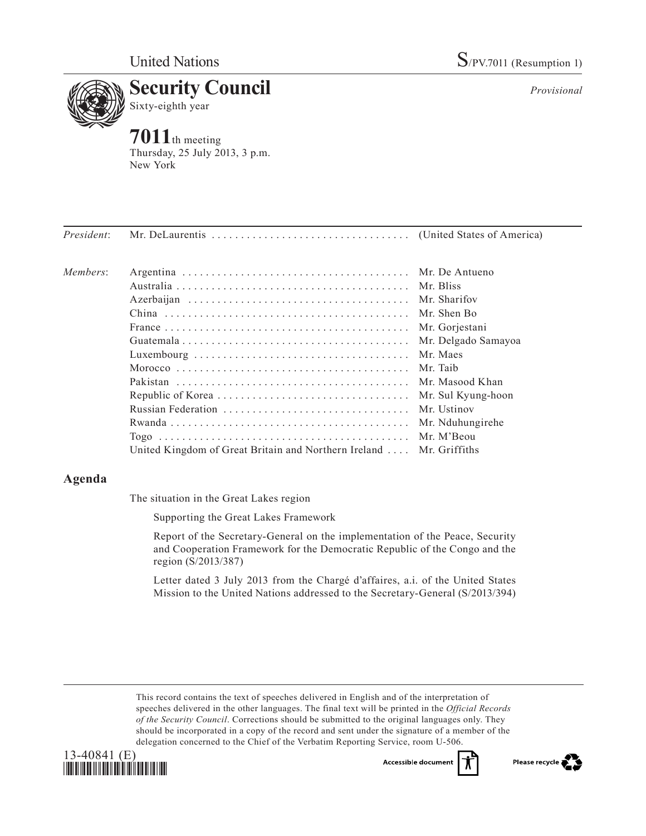

**7011**th meeting Thursday, 25 July 2013, 3 p.m. New York

*President*: Mr. DeLaurentis . (United States of America) *Members*: Argentina . Mr. De Antueno Australia . Mr. Bliss Azerbaijan . Mr. Sharifov China . Mr. Shen Bo France. . Mr. Gorjestani Guatemala . Mr. Delgado Samayoa Luxembourg . Mr. Maes Morocco . Mr. Taib Pakistan . Mr. Masood Khan Republic of Korea. . Mr. Sul Kyung-hoon Russian Federation . Mr. Ustinov Rwanda. . Mr. Nduhungirehe Togo . Mr. M'Beou United Kingdom of Great Britain and Northern Ireland .... Mr. Griffiths

## **Agenda**

The situation in the Great Lakes region

Supporting the Great Lakes Framework

Report of the Secretary-General on the implementation of the Peace, Security and Cooperation Framework for the Democratic Republic of the Congo and the region (S/2013/387)

Letter dated 3 July 2013 from the Chargé d'affaires, a.i. of the United States Mission to the United Nations addressed to the Secretary-General (S/2013/394)

This record contains the text of speeches delivered in English and of the interpretation of speeches delivered in the other languages. The final text will be printed in the *Official Records of the Security Council*. Corrections should be submitted to the original languages only. They should be incorporated in a copy of the record and sent under the signature of a member of the delegation concerned to the Chief of the Verbatim Reporting Service, room U-506.





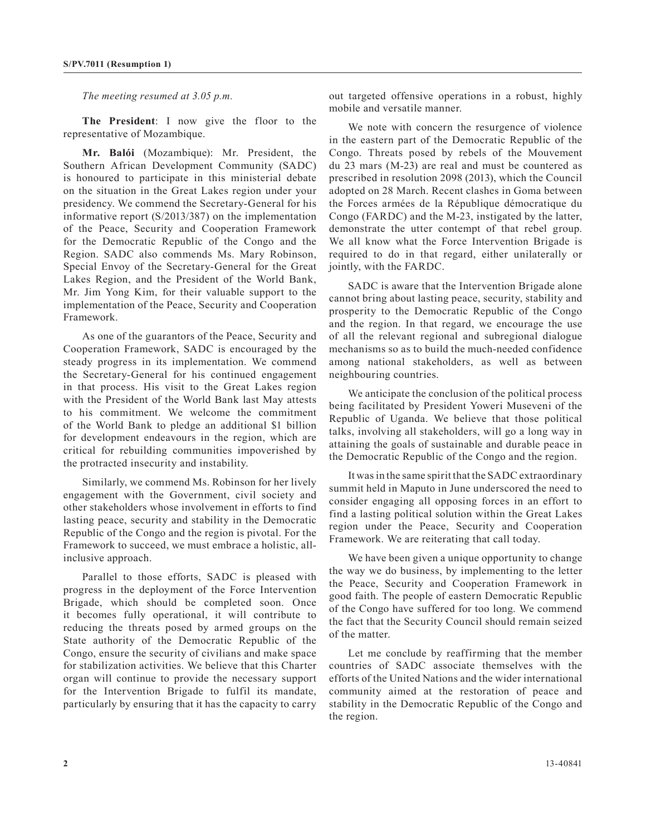*The meeting resumed at 3.05 p.m.*

**The President**: I now give the floor to the representative of Mozambique.

**Mr. Balói** (Mozambique): Mr. President, the Southern African Development Community (SADC) is honoured to participate in this ministerial debate on the situation in the Great Lakes region under your presidency. We commend the Secretary-General for his informative report (S/2013/387) on the implementation of the Peace, Security and Cooperation Framework for the Democratic Republic of the Congo and the Region. SADC also commends Ms. Mary Robinson, Special Envoy of the Secretary-General for the Great Lakes Region, and the President of the World Bank, Mr. Jim Yong Kim, for their valuable support to the implementation of the Peace, Security and Cooperation Framework.

As one of the guarantors of the Peace, Security and Cooperation Framework, SADC is encouraged by the steady progress in its implementation. We commend the Secretary-General for his continued engagement in that process. His visit to the Great Lakes region with the President of the World Bank last May attests to his commitment. We welcome the commitment of the World Bank to pledge an additional \$1 billion for development endeavours in the region, which are critical for rebuilding communities impoverished by the protracted insecurity and instability.

Similarly, we commend Ms. Robinson for her lively engagement with the Government, civil society and other stakeholders whose involvement in efforts to find lasting peace, security and stability in the Democratic Republic of the Congo and the region is pivotal. For the Framework to succeed, we must embrace a holistic, allinclusive approach.

Parallel to those efforts, SADC is pleased with progress in the deployment of the Force Intervention Brigade, which should be completed soon. Once it becomes fully operational, it will contribute to reducing the threats posed by armed groups on the State authority of the Democratic Republic of the Congo, ensure the security of civilians and make space for stabilization activities. We believe that this Charter organ will continue to provide the necessary support for the Intervention Brigade to fulfil its mandate, particularly by ensuring that it has the capacity to carry out targeted offensive operations in a robust, highly mobile and versatile manner.

We note with concern the resurgence of violence in the eastern part of the Democratic Republic of the Congo. Threats posed by rebels of the Mouvement du 23 mars (M-23) are real and must be countered as prescribed in resolution 2098 (2013), which the Council adopted on 28 March. Recent clashes in Goma between the Forces armées de la République démocratique du Congo (FARDC) and the M-23, instigated by the latter, demonstrate the utter contempt of that rebel group. We all know what the Force Intervention Brigade is required to do in that regard, either unilaterally or jointly, with the FARDC.

SADC is aware that the Intervention Brigade alone cannot bring about lasting peace, security, stability and prosperity to the Democratic Republic of the Congo and the region. In that regard, we encourage the use of all the relevant regional and subregional dialogue mechanisms so as to build the much-needed confidence among national stakeholders, as well as between neighbouring countries.

We anticipate the conclusion of the political process being facilitated by President Yoweri Museveni of the Republic of Uganda. We believe that those political talks, involving all stakeholders, will go a long way in attaining the goals of sustainable and durable peace in the Democratic Republic of the Congo and the region.

It was in the same spirit that the SADC extraordinary summit held in Maputo in June underscored the need to consider engaging all opposing forces in an effort to find a lasting political solution within the Great Lakes region under the Peace, Security and Cooperation Framework. We are reiterating that call today.

We have been given a unique opportunity to change the way we do business, by implementing to the letter the Peace, Security and Cooperation Framework in good faith. The people of eastern Democratic Republic of the Congo have suffered for too long. We commend the fact that the Security Council should remain seized of the matter.

Let me conclude by reaffirming that the member countries of SADC associate themselves with the efforts of the United Nations and the wider international community aimed at the restoration of peace and stability in the Democratic Republic of the Congo and the region.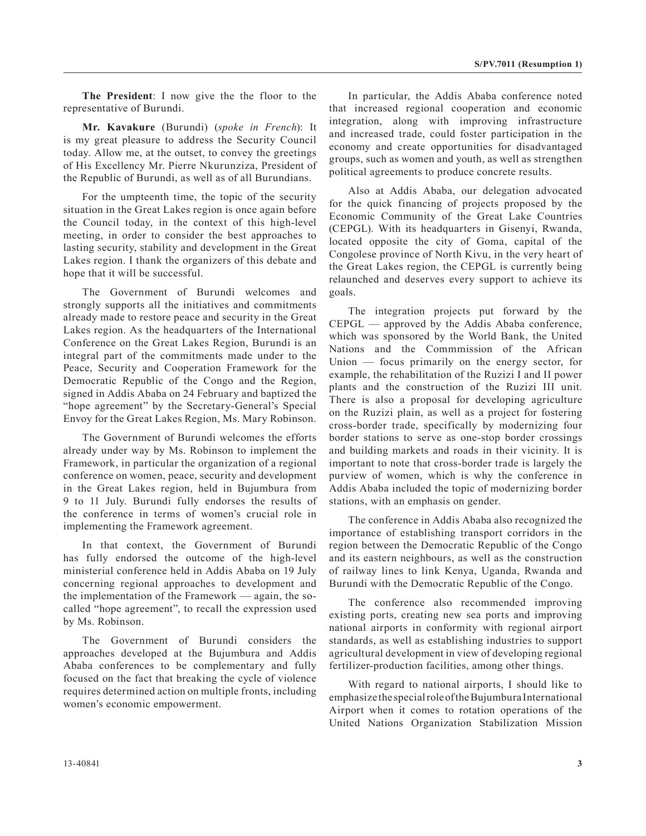**The President**: I now give the the floor to the representative of Burundi.

**Mr. Kavakure** (Burundi) (*spoke in French*): It is my great pleasure to address the Security Council today. Allow me, at the outset, to convey the greetings of His Excellency Mr. Pierre Nkurunziza, President of the Republic of Burundi, as well as of all Burundians.

For the umpteenth time, the topic of the security situation in the Great Lakes region is once again before the Council today, in the context of this high-level meeting, in order to consider the best approaches to lasting security, stability and development in the Great Lakes region. I thank the organizers of this debate and hope that it will be successful.

The Government of Burundi welcomes and strongly supports all the initiatives and commitments already made to restore peace and security in the Great Lakes region. As the headquarters of the International Conference on the Great Lakes Region, Burundi is an integral part of the commitments made under to the Peace, Security and Cooperation Framework for the Democratic Republic of the Congo and the Region, signed in Addis Ababa on 24 February and baptized the "hope agreement" by the Secretary-General's Special Envoy for the Great Lakes Region, Ms. Mary Robinson.

The Government of Burundi welcomes the efforts already under way by Ms. Robinson to implement the Framework, in particular the organization of a regional conference on women, peace, security and development in the Great Lakes region, held in Bujumbura from 9 to 11 July. Burundi fully endorses the results of the conference in terms of women's crucial role in implementing the Framework agreement.

In that context, the Government of Burundi has fully endorsed the outcome of the high-level ministerial conference held in Addis Ababa on 19 July concerning regional approaches to development and the implementation of the Framework — again, the socalled "hope agreement", to recall the expression used by Ms. Robinson.

The Government of Burundi considers the approaches developed at the Bujumbura and Addis Ababa conferences to be complementary and fully focused on the fact that breaking the cycle of violence requires determined action on multiple fronts, including women's economic empowerment.

In particular, the Addis Ababa conference noted that increased regional cooperation and economic integration, along with improving infrastructure and increased trade, could foster participation in the economy and create opportunities for disadvantaged groups, such as women and youth, as well as strengthen political agreements to produce concrete results.

Also at Addis Ababa, our delegation advocated for the quick financing of projects proposed by the Economic Community of the Great Lake Countries (CEPGL). With its headquarters in Gisenyi, Rwanda, located opposite the city of Goma, capital of the Congolese province of North Kivu, in the very heart of the Great Lakes region, the CEPGL is currently being relaunched and deserves every support to achieve its goals.

The integration projects put forward by the CEPGL — approved by the Addis Ababa conference, which was sponsored by the World Bank, the United Nations and the Commmission of the African Union — focus primarily on the energy sector, for example, the rehabilitation of the Ruzizi I and II power plants and the construction of the Ruzizi III unit. There is also a proposal for developing agriculture on the Ruzizi plain, as well as a project for fostering cross-border trade, specifically by modernizing four border stations to serve as one-stop border crossings and building markets and roads in their vicinity. It is important to note that cross-border trade is largely the purview of women, which is why the conference in Addis Ababa included the topic of modernizing border stations, with an emphasis on gender.

The conference in Addis Ababa also recognized the importance of establishing transport corridors in the region between the Democratic Republic of the Congo and its eastern neighbours, as well as the construction of railway lines to link Kenya, Uganda, Rwanda and Burundi with the Democratic Republic of the Congo.

The conference also recommended improving existing ports, creating new sea ports and improving national airports in conformity with regional airport standards, as well as establishing industries to support agricultural development in view of developing regional fertilizer-production facilities, among other things.

With regard to national airports, I should like to emphasize the special role of the Bujumbura International Airport when it comes to rotation operations of the United Nations Organization Stabilization Mission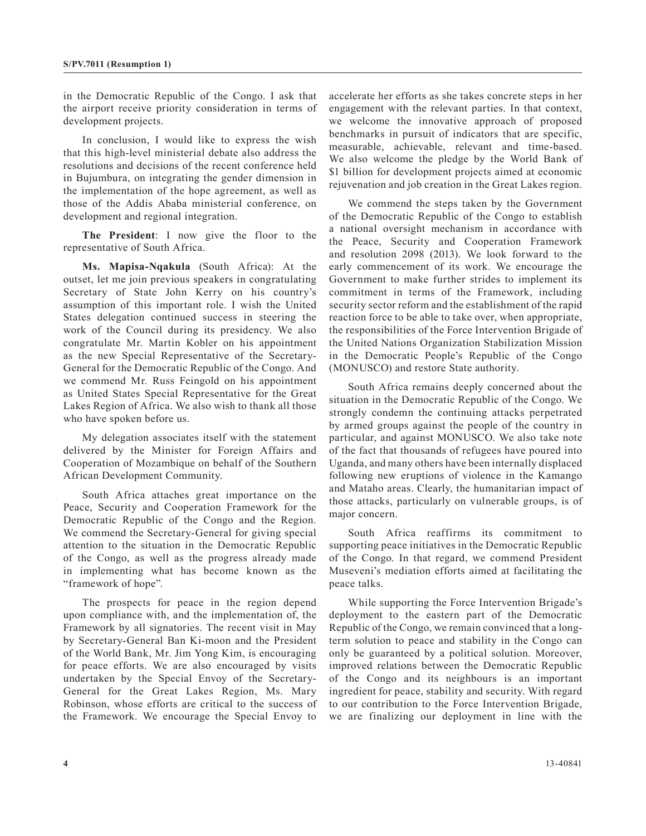in the Democratic Republic of the Congo. I ask that the airport receive priority consideration in terms of development projects.

In conclusion, I would like to express the wish that this high-level ministerial debate also address the resolutions and decisions of the recent conference held in Bujumbura, on integrating the gender dimension in the implementation of the hope agreement, as well as those of the Addis Ababa ministerial conference, on development and regional integration.

**The President**: I now give the floor to the representative of South Africa.

**Ms. Mapisa-Nqakula** (South Africa): At the outset, let me join previous speakers in congratulating Secretary of State John Kerry on his country's assumption of this important role. I wish the United States delegation continued success in steering the work of the Council during its presidency. We also congratulate Mr. Martin Kobler on his appointment as the new Special Representative of the Secretary-General for the Democratic Republic of the Congo. And we commend Mr. Russ Feingold on his appointment as United States Special Representative for the Great Lakes Region of Africa. We also wish to thank all those who have spoken before us.

My delegation associates itself with the statement delivered by the Minister for Foreign Affairs and Cooperation of Mozambique on behalf of the Southern African Development Community.

South Africa attaches great importance on the Peace, Security and Cooperation Framework for the Democratic Republic of the Congo and the Region. We commend the Secretary-General for giving special attention to the situation in the Democratic Republic of the Congo, as well as the progress already made in implementing what has become known as the "framework of hope".

The prospects for peace in the region depend upon compliance with, and the implementation of, the Framework by all signatories. The recent visit in May by Secretary-General Ban Ki-moon and the President of the World Bank, Mr. Jim Yong Kim, is encouraging for peace efforts. We are also encouraged by visits undertaken by the Special Envoy of the Secretary-General for the Great Lakes Region, Ms. Mary Robinson, whose efforts are critical to the success of the Framework. We encourage the Special Envoy to

accelerate her efforts as she takes concrete steps in her engagement with the relevant parties. In that context, we welcome the innovative approach of proposed benchmarks in pursuit of indicators that are specific, measurable, achievable, relevant and time-based. We also welcome the pledge by the World Bank of \$1 billion for development projects aimed at economic rejuvenation and job creation in the Great Lakes region.

We commend the steps taken by the Government of the Democratic Republic of the Congo to establish a national oversight mechanism in accordance with the Peace, Security and Cooperation Framework and resolution 2098 (2013). We look forward to the early commencement of its work. We encourage the Government to make further strides to implement its commitment in terms of the Framework, including security sector reform and the establishment of the rapid reaction force to be able to take over, when appropriate, the responsibilities of the Force Intervention Brigade of the United Nations Organization Stabilization Mission in the Democratic People's Republic of the Congo (MONUSCO) and restore State authority.

South Africa remains deeply concerned about the situation in the Democratic Republic of the Congo. We strongly condemn the continuing attacks perpetrated by armed groups against the people of the country in particular, and against MONUSCO. We also take note of the fact that thousands of refugees have poured into Uganda, and many others have been internally displaced following new eruptions of violence in the Kamango and Mataho areas. Clearly, the humanitarian impact of those attacks, particularly on vulnerable groups, is of major concern.

South Africa reaffirms its commitment to supporting peace initiatives in the Democratic Republic of the Congo. In that regard, we commend President Museveni's mediation efforts aimed at facilitating the peace talks.

While supporting the Force Intervention Brigade's deployment to the eastern part of the Democratic Republic of the Congo, we remain convinced that a longterm solution to peace and stability in the Congo can only be guaranteed by a political solution. Moreover, improved relations between the Democratic Republic of the Congo and its neighbours is an important ingredient for peace, stability and security. With regard to our contribution to the Force Intervention Brigade, we are finalizing our deployment in line with the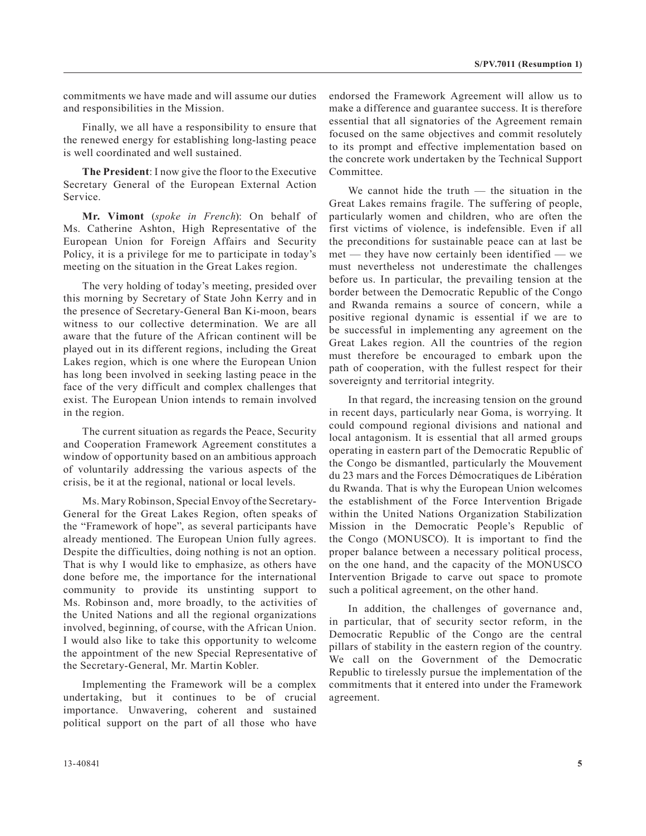commitments we have made and will assume our duties and responsibilities in the Mission.

Finally, we all have a responsibility to ensure that the renewed energy for establishing long-lasting peace is well coordinated and well sustained.

**The President**: I now give the floor to the Executive Secretary General of the European External Action Service.

**Mr. Vimont** (*spoke in French*): On behalf of Ms. Catherine Ashton, High Representative of the European Union for Foreign Affairs and Security Policy, it is a privilege for me to participate in today's meeting on the situation in the Great Lakes region.

The very holding of today's meeting, presided over this morning by Secretary of State John Kerry and in the presence of Secretary-General Ban Ki-moon, bears witness to our collective determination. We are all aware that the future of the African continent will be played out in its different regions, including the Great Lakes region, which is one where the European Union has long been involved in seeking lasting peace in the face of the very difficult and complex challenges that exist. The European Union intends to remain involved in the region.

The current situation as regards the Peace, Security and Cooperation Framework Agreement constitutes a window of opportunity based on an ambitious approach of voluntarily addressing the various aspects of the crisis, be it at the regional, national or local levels.

Ms. Mary Robinson, Special Envoy of the Secretary-General for the Great Lakes Region, often speaks of the "Framework of hope", as several participants have already mentioned. The European Union fully agrees. Despite the difficulties, doing nothing is not an option. That is why I would like to emphasize, as others have done before me, the importance for the international community to provide its unstinting support to Ms. Robinson and, more broadly, to the activities of the United Nations and all the regional organizations involved, beginning, of course, with the African Union. I would also like to take this opportunity to welcome the appointment of the new Special Representative of the Secretary-General, Mr. Martin Kobler.

Implementing the Framework will be a complex undertaking, but it continues to be of crucial importance. Unwavering, coherent and sustained political support on the part of all those who have endorsed the Framework Agreement will allow us to make a difference and guarantee success. It is therefore essential that all signatories of the Agreement remain focused on the same objectives and commit resolutely to its prompt and effective implementation based on the concrete work undertaken by the Technical Support Committee.

We cannot hide the truth  $-$  the situation in the Great Lakes remains fragile. The suffering of people, particularly women and children, who are often the first victims of violence, is indefensible. Even if all the preconditions for sustainable peace can at last be met — they have now certainly been identified — we must nevertheless not underestimate the challenges before us. In particular, the prevailing tension at the border between the Democratic Republic of the Congo and Rwanda remains a source of concern, while a positive regional dynamic is essential if we are to be successful in implementing any agreement on the Great Lakes region. All the countries of the region must therefore be encouraged to embark upon the path of cooperation, with the fullest respect for their sovereignty and territorial integrity.

In that regard, the increasing tension on the ground in recent days, particularly near Goma, is worrying. It could compound regional divisions and national and local antagonism. It is essential that all armed groups operating in eastern part of the Democratic Republic of the Congo be dismantled, particularly the Mouvement du 23 mars and the Forces Démocratiques de Libération du Rwanda. That is why the European Union welcomes the establishment of the Force Intervention Brigade within the United Nations Organization Stabilization Mission in the Democratic People's Republic of the Congo (MONUSCO). It is important to find the proper balance between a necessary political process, on the one hand, and the capacity of the MONUSCO Intervention Brigade to carve out space to promote such a political agreement, on the other hand.

In addition, the challenges of governance and, in particular, that of security sector reform, in the Democratic Republic of the Congo are the central pillars of stability in the eastern region of the country. We call on the Government of the Democratic Republic to tirelessly pursue the implementation of the commitments that it entered into under the Framework agreement.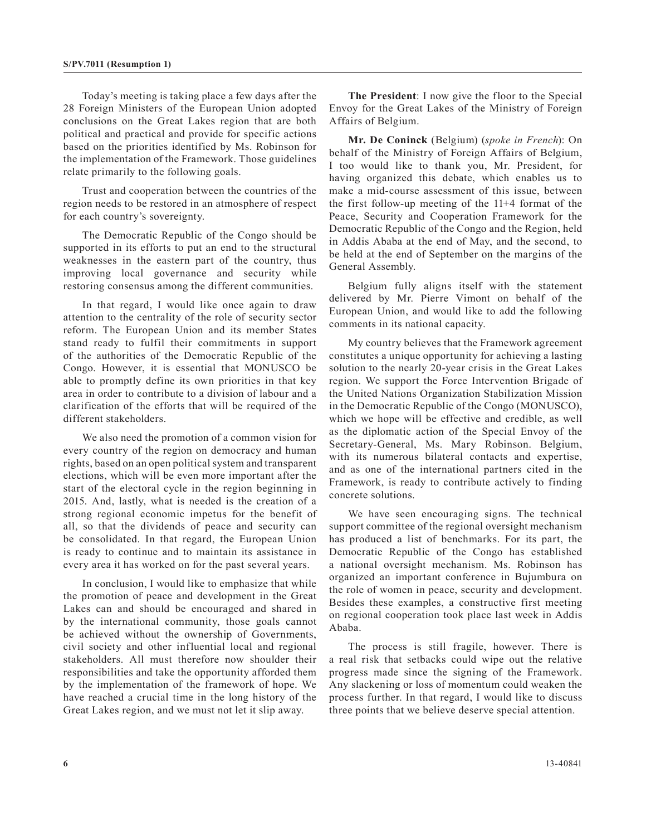Today's meeting is taking place a few days after the 28 Foreign Ministers of the European Union adopted conclusions on the Great Lakes region that are both political and practical and provide for specific actions based on the priorities identified by Ms. Robinson for the implementation of the Framework. Those guidelines relate primarily to the following goals.

Trust and cooperation between the countries of the region needs to be restored in an atmosphere of respect for each country's sovereignty.

The Democratic Republic of the Congo should be supported in its efforts to put an end to the structural weaknesses in the eastern part of the country, thus improving local governance and security while restoring consensus among the different communities.

In that regard, I would like once again to draw attention to the centrality of the role of security sector reform. The European Union and its member States stand ready to fulfil their commitments in support of the authorities of the Democratic Republic of the Congo. However, it is essential that MONUSCO be able to promptly define its own priorities in that key area in order to contribute to a division of labour and a clarification of the efforts that will be required of the different stakeholders.

We also need the promotion of a common vision for every country of the region on democracy and human rights, based on an open political system and transparent elections, which will be even more important after the start of the electoral cycle in the region beginning in 2015. And, lastly, what is needed is the creation of a strong regional economic impetus for the benefit of all, so that the dividends of peace and security can be consolidated. In that regard, the European Union is ready to continue and to maintain its assistance in every area it has worked on for the past several years.

In conclusion, I would like to emphasize that while the promotion of peace and development in the Great Lakes can and should be encouraged and shared in by the international community, those goals cannot be achieved without the ownership of Governments, civil society and other influential local and regional stakeholders. All must therefore now shoulder their responsibilities and take the opportunity afforded them by the implementation of the framework of hope. We have reached a crucial time in the long history of the Great Lakes region, and we must not let it slip away.

**The President**: I now give the floor to the Special Envoy for the Great Lakes of the Ministry of Foreign Affairs of Belgium.

**Mr. De Coninck** (Belgium) (*spoke in French*): On behalf of the Ministry of Foreign Affairs of Belgium, I too would like to thank you, Mr. President, for having organized this debate, which enables us to make a mid-course assessment of this issue, between the first follow-up meeting of the 11+4 format of the Peace, Security and Cooperation Framework for the Democratic Republic of the Congo and the Region, held in Addis Ababa at the end of May, and the second, to be held at the end of September on the margins of the General Assembly.

Belgium fully aligns itself with the statement delivered by Mr. Pierre Vimont on behalf of the European Union, and would like to add the following comments in its national capacity.

My country believes that the Framework agreement constitutes a unique opportunity for achieving a lasting solution to the nearly 20-year crisis in the Great Lakes region. We support the Force Intervention Brigade of the United Nations Organization Stabilization Mission in the Democratic Republic of the Congo (MONUSCO), which we hope will be effective and credible, as well as the diplomatic action of the Special Envoy of the Secretary-General, Ms. Mary Robinson. Belgium, with its numerous bilateral contacts and expertise, and as one of the international partners cited in the Framework, is ready to contribute actively to finding concrete solutions.

We have seen encouraging signs. The technical support committee of the regional oversight mechanism has produced a list of benchmarks. For its part, the Democratic Republic of the Congo has established a national oversight mechanism. Ms. Robinson has organized an important conference in Bujumbura on the role of women in peace, security and development. Besides these examples, a constructive first meeting on regional cooperation took place last week in Addis Ababa.

The process is still fragile, however. There is a real risk that setbacks could wipe out the relative progress made since the signing of the Framework. Any slackening or loss of momentum could weaken the process further. In that regard, I would like to discuss three points that we believe deserve special attention.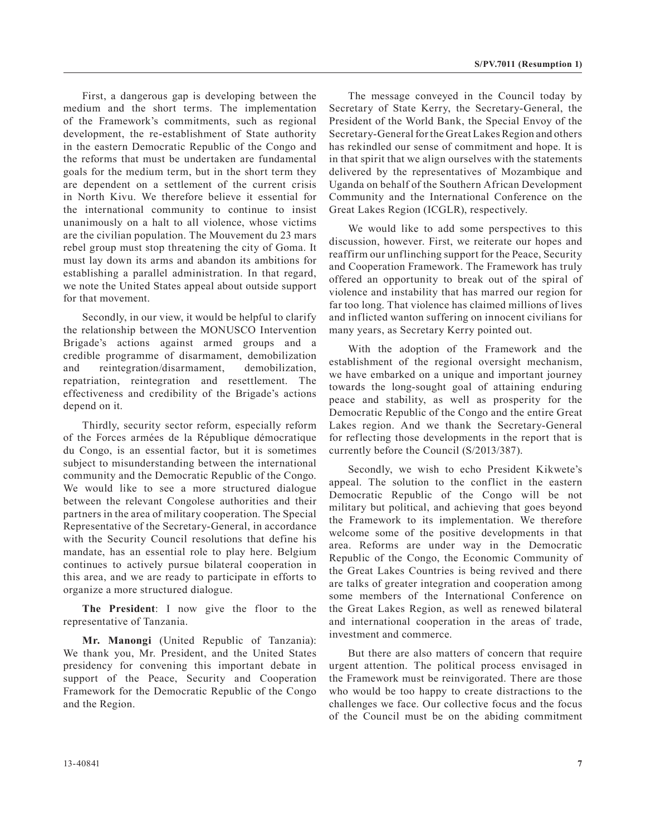First, a dangerous gap is developing between the medium and the short terms. The implementation of the Framework's commitments, such as regional development, the re-establishment of State authority in the eastern Democratic Republic of the Congo and the reforms that must be undertaken are fundamental goals for the medium term, but in the short term they are dependent on a settlement of the current crisis in North Kivu. We therefore believe it essential for the international community to continue to insist unanimously on a halt to all violence, whose victims are the civilian population. The Mouvement du 23 mars rebel group must stop threatening the city of Goma. It must lay down its arms and abandon its ambitions for establishing a parallel administration. In that regard, we note the United States appeal about outside support for that movement.

Secondly, in our view, it would be helpful to clarify the relationship between the MONUSCO Intervention Brigade's actions against armed groups and a credible programme of disarmament, demobilization and reintegration/disarmament, demobilization, repatriation, reintegration and resettlement. The effectiveness and credibility of the Brigade's actions depend on it.

Thirdly, security sector reform, especially reform of the Forces armées de la République démocratique du Congo, is an essential factor, but it is sometimes subject to misunderstanding between the international community and the Democratic Republic of the Congo. We would like to see a more structured dialogue between the relevant Congolese authorities and their partners in the area of military cooperation. The Special Representative of the Secretary-General, in accordance with the Security Council resolutions that define his mandate, has an essential role to play here. Belgium continues to actively pursue bilateral cooperation in this area, and we are ready to participate in efforts to organize a more structured dialogue.

**The President**: I now give the floor to the representative of Tanzania.

**Mr. Manongi** (United Republic of Tanzania): We thank you, Mr. President, and the United States presidency for convening this important debate in support of the Peace, Security and Cooperation Framework for the Democratic Republic of the Congo and the Region.

The message conveyed in the Council today by Secretary of State Kerry, the Secretary-General, the President of the World Bank, the Special Envoy of the Secretary-General for the Great Lakes Region and others has rekindled our sense of commitment and hope. It is in that spirit that we align ourselves with the statements delivered by the representatives of Mozambique and Uganda on behalf of the Southern African Development Community and the International Conference on the Great Lakes Region (ICGLR), respectively.

We would like to add some perspectives to this discussion, however. First, we reiterate our hopes and reaffirm our unflinching support for the Peace, Security and Cooperation Framework. The Framework has truly offered an opportunity to break out of the spiral of violence and instability that has marred our region for far too long. That violence has claimed millions of lives and inflicted wanton suffering on innocent civilians for many years, as Secretary Kerry pointed out.

With the adoption of the Framework and the establishment of the regional oversight mechanism, we have embarked on a unique and important journey towards the long-sought goal of attaining enduring peace and stability, as well as prosperity for the Democratic Republic of the Congo and the entire Great Lakes region. And we thank the Secretary-General for reflecting those developments in the report that is currently before the Council (S/2013/387).

Secondly, we wish to echo President Kikwete's appeal. The solution to the conflict in the eastern Democratic Republic of the Congo will be not military but political, and achieving that goes beyond the Framework to its implementation. We therefore welcome some of the positive developments in that area. Reforms are under way in the Democratic Republic of the Congo, the Economic Community of the Great Lakes Countries is being revived and there are talks of greater integration and cooperation among some members of the International Conference on the Great Lakes Region, as well as renewed bilateral and international cooperation in the areas of trade, investment and commerce.

But there are also matters of concern that require urgent attention. The political process envisaged in the Framework must be reinvigorated. There are those who would be too happy to create distractions to the challenges we face. Our collective focus and the focus of the Council must be on the abiding commitment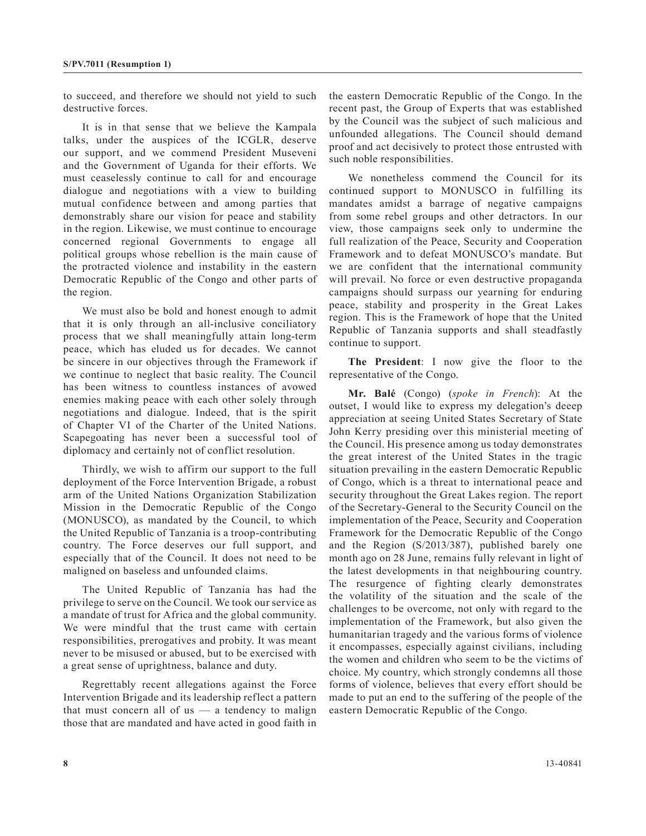to succeed, and therefore we should not yield to such destructive forces.

It is in that sense that we believe the Kampala talks, under the auspices of the ICGLR, deserve our support, and we commend President Museveni and the Government of Uganda for their efforts. We must ceaselessly continue to call for and encourage dialogue and negotiations with a view to building mutual confidence between and among parties that demonstrably share our vision for peace and stability in the region. Likewise, we must continue to encourage concerned regional Governments to engage all political groups whose rebellion is the main cause of the protracted violence and instability in the eastern Democratic Republic of the Congo and other parts of the region.

We must also be bold and honest enough to admit that it is only through an all-inclusive conciliatory process that we shall meaningfully attain long-term peace, which has eluded us for decades. We cannot be sincere in our objectives through the Framework if we continue to neglect that basic reality. The Council has been witness to countless instances of avowed enemies making peace with each other solely through negotiations and dialogue. Indeed, that is the spirit of Chapter VI of the Charter of the United Nations. Scapegoating has never been a successful tool of diplomacy and certainly not of conflict resolution.

Thirdly, we wish to affirm our support to the full deployment of the Force Intervention Brigade, a robust arm of the United Nations Organization Stabilization Mission in the Democratic Republic of the Congo (MONUSCO), as mandated by the Council, to which the United Republic of Tanzania is a troop-contributing country. The Force deserves our full support, and especially that of the Council. It does not need to be maligned on baseless and unfounded claims.

The United Republic of Tanzania has had the privilege to serve on the Council. We took our service as a mandate of trust for Africa and the global community. We were mindful that the trust came with certain responsibilities, prerogatives and probity. It was meant never to be misused or abused, but to be exercised with a great sense of uprightness, balance and duty.

Regrettably recent allegations against the Force Intervention Brigade and its leadership reflect a pattern that must concern all of us  $-$  a tendency to malign those that are mandated and have acted in good faith in the eastern Democratic Republic of the Congo. In the recent past, the Group of Experts that was established by the Council was the subject of such malicious and unfounded allegations. The Council should demand proof and act decisively to protect those entrusted with such noble responsibilities.

We nonetheless commend the Council for its continued support to MONUSCO in fulfilling its mandates amidst a barrage of negative campaigns from some rebel groups and other detractors. In our view, those campaigns seek only to undermine the full realization of the Peace, Security and Cooperation Framework and to defeat MONUSCO's mandate. But we are confident that the international community will prevail. No force or even destructive propaganda campaigns should surpass our yearning for enduring peace, stability and prosperity in the Great Lakes region. This is the Framework of hope that the United Republic of Tanzania supports and shall steadfastly continue to support.

**The President**: I now give the floor to the representative of the Congo.

**Mr. Balé** (Congo) (*spoke in French*): At the outset, I would like to express my delegation's deeep appreciation at seeing United States Secretary of State John Kerry presiding over this ministerial meeting of the Council. His presence among us today demonstrates the great interest of the United States in the tragic situation prevailing in the eastern Democratic Republic of Congo, which is a threat to international peace and security throughout the Great Lakes region. The report of the Secretary-General to the Security Council on the implementation of the Peace, Security and Cooperation Framework for the Democratic Republic of the Congo and the Region (S/2013/387), published barely one month ago on 28 June, remains fully relevant in light of the latest developments in that neighbouring country. The resurgence of fighting clearly demonstrates the volatility of the situation and the scale of the challenges to be overcome, not only with regard to the implementation of the Framework, but also given the humanitarian tragedy and the various forms of violence it encompasses, especially against civilians, including the women and children who seem to be the victims of choice. My country, which strongly condemns all those forms of violence, believes that every effort should be made to put an end to the suffering of the people of the eastern Democratic Republic of the Congo.